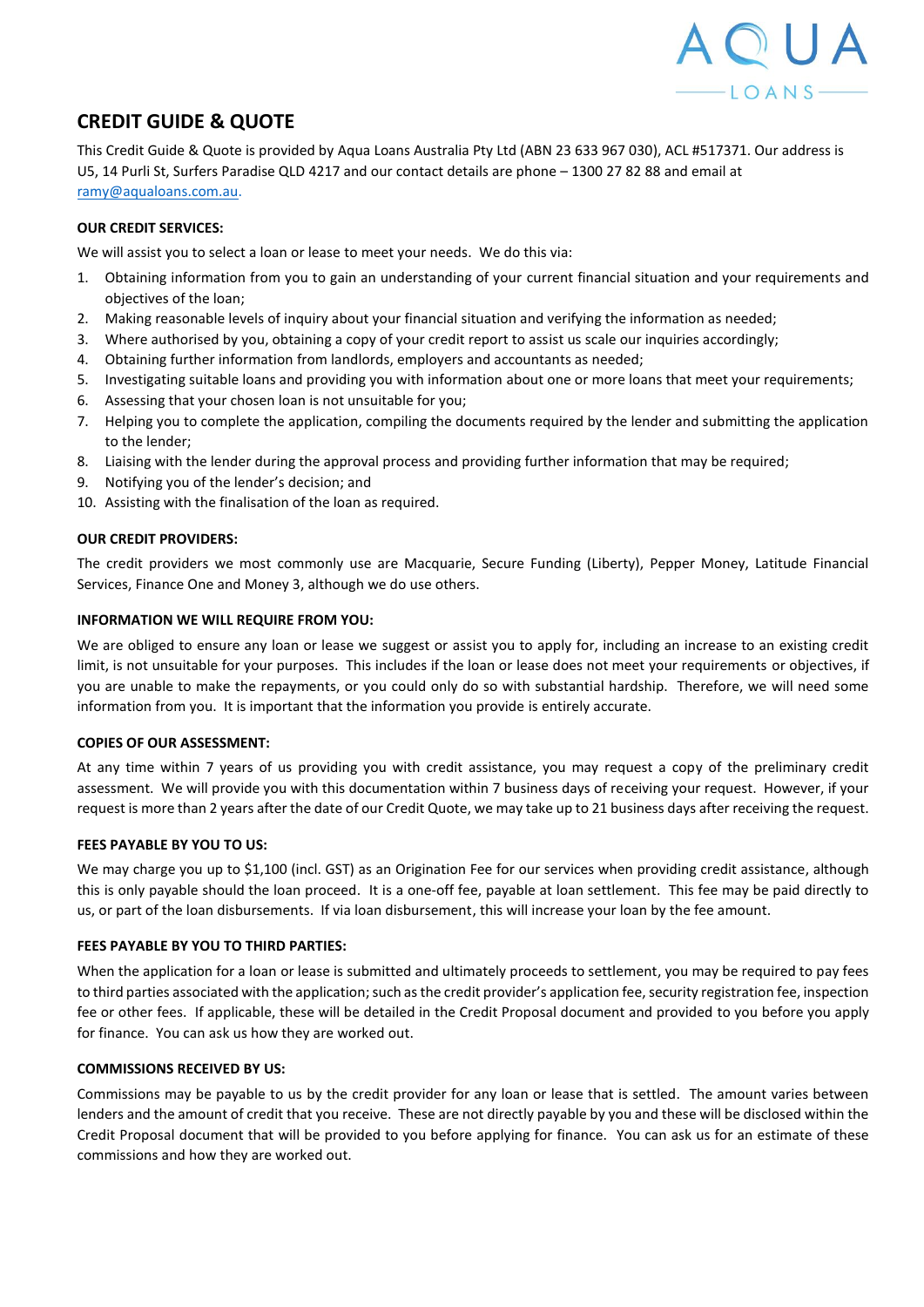

# **CREDIT GUIDE & QUOTE**

This Credit Guide & Quote is provided by Aqua Loans Australia Pty Ltd (ABN 23 633 967 030), ACL #517371. Our address is U5, 14 Purli St, Surfers Paradise QLD 4217 and our contact details are phone – 1300 27 82 88 and email at [ramy@aqualoans.com.au.](mailto:ramy@aqualoans.com.au)

## **OUR CREDIT SERVICES:**

We will assist you to select a loan or lease to meet your needs. We do this via:

- 1. Obtaining information from you to gain an understanding of your current financial situation and your requirements and objectives of the loan;
- 2. Making reasonable levels of inquiry about your financial situation and verifying the information as needed;
- 3. Where authorised by you, obtaining a copy of your credit report to assist us scale our inquiries accordingly;
- 4. Obtaining further information from landlords, employers and accountants as needed;
- 5. Investigating suitable loans and providing you with information about one or more loans that meet your requirements;
- 6. Assessing that your chosen loan is not unsuitable for you;
- 7. Helping you to complete the application, compiling the documents required by the lender and submitting the application to the lender;
- 8. Liaising with the lender during the approval process and providing further information that may be required;
- 9. Notifying you of the lender's decision; and
- 10. Assisting with the finalisation of the loan as required.

## **OUR CREDIT PROVIDERS:**

The credit providers we most commonly use are Macquarie, Secure Funding (Liberty), Pepper Money, Latitude Financial Services, Finance One and Money 3, although we do use others.

### **INFORMATION WE WILL REQUIRE FROM YOU:**

We are obliged to ensure any loan or lease we suggest or assist you to apply for, including an increase to an existing credit limit, is not unsuitable for your purposes. This includes if the loan or lease does not meet your requirements or objectives, if you are unable to make the repayments, or you could only do so with substantial hardship. Therefore, we will need some information from you. It is important that the information you provide is entirely accurate.

### **COPIES OF OUR ASSESSMENT:**

At any time within 7 years of us providing you with credit assistance, you may request a copy of the preliminary credit assessment. We will provide you with this documentation within 7 business days of receiving your request. However, if your request is more than 2 years after the date of our Credit Quote, we may take up to 21 business days after receiving the request.

### **FEES PAYABLE BY YOU TO US:**

We may charge you up to \$1,100 (incl. GST) as an Origination Fee for our services when providing credit assistance, although this is only payable should the loan proceed. It is a one-off fee, payable at loan settlement. This fee may be paid directly to us, or part of the loan disbursements. If via loan disbursement, this will increase your loan by the fee amount.

### **FEES PAYABLE BY YOU TO THIRD PARTIES:**

When the application for a loan or lease is submitted and ultimately proceeds to settlement, you may be required to pay fees to third parties associated with the application; such as the credit provider's application fee, security registration fee, inspection fee or other fees. If applicable, these will be detailed in the Credit Proposal document and provided to you before you apply for finance. You can ask us how they are worked out.

# **COMMISSIONS RECEIVED BY US:**

Commissions may be payable to us by the credit provider for any loan or lease that is settled. The amount varies between lenders and the amount of credit that you receive. These are not directly payable by you and these will be disclosed within the Credit Proposal document that will be provided to you before applying for finance. You can ask us for an estimate of these commissions and how they are worked out.